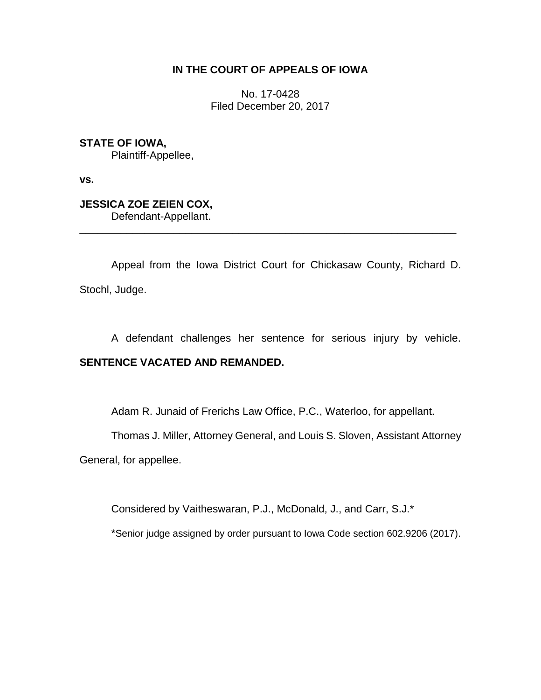## **IN THE COURT OF APPEALS OF IOWA**

No. 17-0428 Filed December 20, 2017

**STATE OF IOWA,** Plaintiff-Appellee,

**vs.**

**JESSICA ZOE ZEIEN COX,** Defendant-Appellant.

Appeal from the Iowa District Court for Chickasaw County, Richard D. Stochl, Judge.

\_\_\_\_\_\_\_\_\_\_\_\_\_\_\_\_\_\_\_\_\_\_\_\_\_\_\_\_\_\_\_\_\_\_\_\_\_\_\_\_\_\_\_\_\_\_\_\_\_\_\_\_\_\_\_\_\_\_\_\_\_\_\_\_

A defendant challenges her sentence for serious injury by vehicle.

## **SENTENCE VACATED AND REMANDED.**

Adam R. Junaid of Frerichs Law Office, P.C., Waterloo, for appellant.

Thomas J. Miller, Attorney General, and Louis S. Sloven, Assistant Attorney

General, for appellee.

Considered by Vaitheswaran, P.J., McDonald, J., and Carr, S.J.\*

\*Senior judge assigned by order pursuant to Iowa Code section 602.9206 (2017).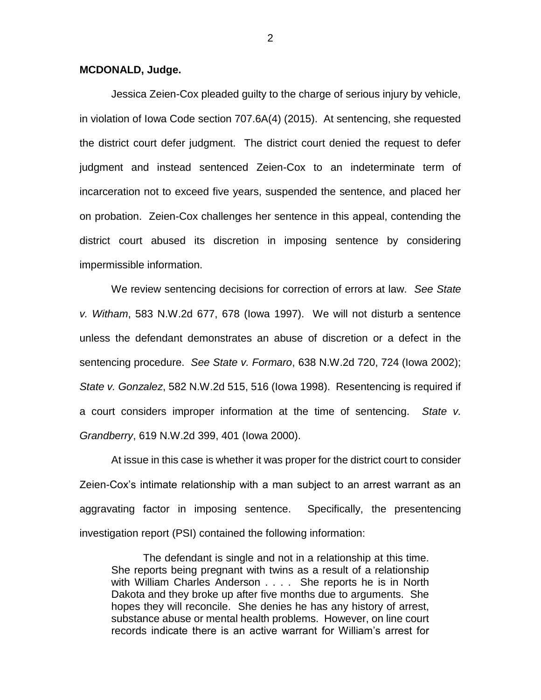## **MCDONALD, Judge.**

Jessica Zeien-Cox pleaded guilty to the charge of serious injury by vehicle, in violation of Iowa Code section 707.6A(4) (2015). At sentencing, she requested the district court defer judgment. The district court denied the request to defer judgment and instead sentenced Zeien-Cox to an indeterminate term of incarceration not to exceed five years, suspended the sentence, and placed her on probation. Zeien-Cox challenges her sentence in this appeal, contending the district court abused its discretion in imposing sentence by considering impermissible information.

We review sentencing decisions for correction of errors at law. *See State v. Witham*, 583 N.W.2d 677, 678 (Iowa 1997). We will not disturb a sentence unless the defendant demonstrates an abuse of discretion or a defect in the sentencing procedure. *See State v. Formaro*, 638 N.W.2d 720, 724 (Iowa 2002); *State v. Gonzalez*, 582 N.W.2d 515, 516 (Iowa 1998). Resentencing is required if a court considers improper information at the time of sentencing. *State v. Grandberry*, 619 N.W.2d 399, 401 (Iowa 2000).

At issue in this case is whether it was proper for the district court to consider Zeien-Cox's intimate relationship with a man subject to an arrest warrant as an aggravating factor in imposing sentence. Specifically, the presentencing investigation report (PSI) contained the following information:

The defendant is single and not in a relationship at this time. She reports being pregnant with twins as a result of a relationship with William Charles Anderson . . . . She reports he is in North Dakota and they broke up after five months due to arguments. She hopes they will reconcile. She denies he has any history of arrest, substance abuse or mental health problems. However, on line court records indicate there is an active warrant for William's arrest for

2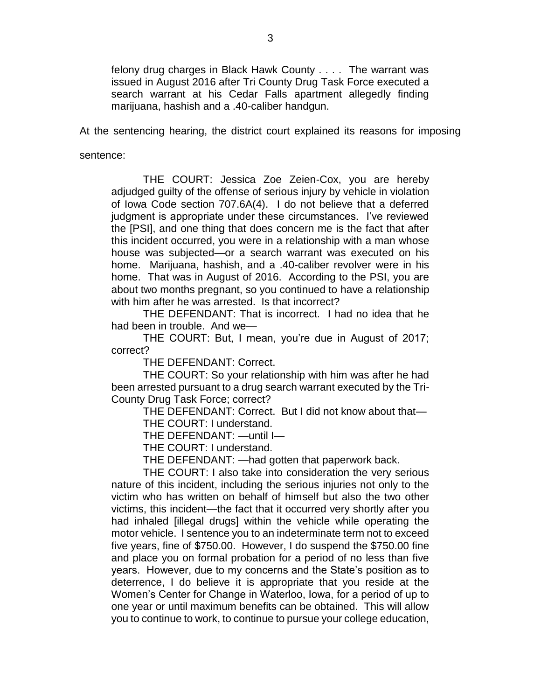felony drug charges in Black Hawk County . . . . The warrant was issued in August 2016 after Tri County Drug Task Force executed a search warrant at his Cedar Falls apartment allegedly finding marijuana, hashish and a .40-caliber handgun.

At the sentencing hearing, the district court explained its reasons for imposing

sentence:

THE COURT: Jessica Zoe Zeien-Cox, you are hereby adjudged guilty of the offense of serious injury by vehicle in violation of Iowa Code section 707.6A(4). I do not believe that a deferred judgment is appropriate under these circumstances. I've reviewed the [PSI], and one thing that does concern me is the fact that after this incident occurred, you were in a relationship with a man whose house was subjected—or a search warrant was executed on his home. Marijuana, hashish, and a .40-caliber revolver were in his home. That was in August of 2016. According to the PSI, you are about two months pregnant, so you continued to have a relationship with him after he was arrested. Is that incorrect?

THE DEFENDANT: That is incorrect. I had no idea that he had been in trouble. And we—

THE COURT: But, I mean, you're due in August of 2017; correct?

THE DEFENDANT: Correct.

THE COURT: So your relationship with him was after he had been arrested pursuant to a drug search warrant executed by the Tri-County Drug Task Force; correct?

THE DEFENDANT: Correct. But I did not know about that—

THE COURT: I understand.

THE DEFENDANT: —until I—

THE COURT: I understand.

THE DEFENDANT: —had gotten that paperwork back.

THE COURT: I also take into consideration the very serious nature of this incident, including the serious injuries not only to the victim who has written on behalf of himself but also the two other victims, this incident—the fact that it occurred very shortly after you had inhaled [illegal drugs] within the vehicle while operating the motor vehicle. I sentence you to an indeterminate term not to exceed five years, fine of \$750.00. However, I do suspend the \$750.00 fine and place you on formal probation for a period of no less than five years. However, due to my concerns and the State's position as to deterrence, I do believe it is appropriate that you reside at the Women's Center for Change in Waterloo, Iowa, for a period of up to one year or until maximum benefits can be obtained. This will allow you to continue to work, to continue to pursue your college education,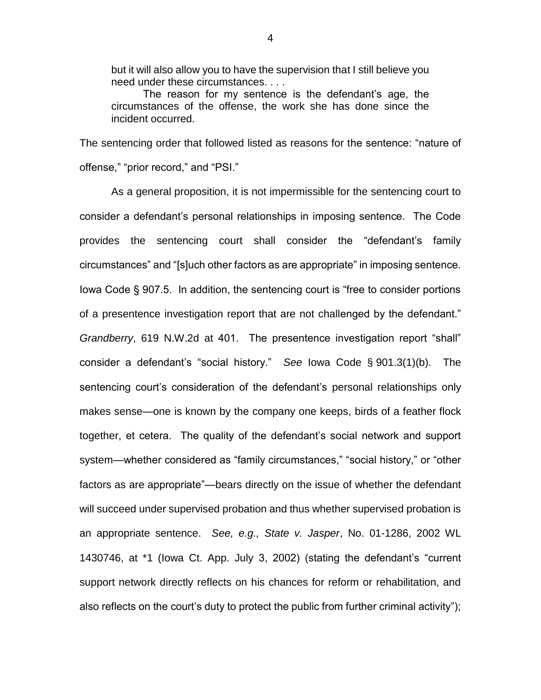but it will also allow you to have the supervision that I still believe you need under these circumstances. . . .

The reason for my sentence is the defendant's age, the circumstances of the offense, the work she has done since the incident occurred.

The sentencing order that followed listed as reasons for the sentence: "nature of offense," "prior record," and "PSI."

As a general proposition, it is not impermissible for the sentencing court to consider a defendant's personal relationships in imposing sentence. The Code provides the sentencing court shall consider the "defendant's family circumstances" and "[s]uch other factors as are appropriate" in imposing sentence. Iowa Code § 907.5. In addition, the sentencing court is "free to consider portions of a presentence investigation report that are not challenged by the defendant." *Grandberry*, 619 N.W.2d at 401. The presentence investigation report "shall" consider a defendant's "social history." *See* Iowa Code § 901.3(1)(b). The sentencing court's consideration of the defendant's personal relationships only makes sense—one is known by the company one keeps, birds of a feather flock together, et cetera. The quality of the defendant's social network and support system—whether considered as "family circumstances," "social history," or "other factors as are appropriate"—bears directly on the issue of whether the defendant will succeed under supervised probation and thus whether supervised probation is an appropriate sentence. *See, e.g., State v. Jasper*, No. 01-1286, 2002 WL 1430746, at \*1 (Iowa Ct. App. July 3, 2002) (stating the defendant's "current support network directly reflects on his chances for reform or rehabilitation, and also reflects on the court's duty to protect the public from further criminal activity");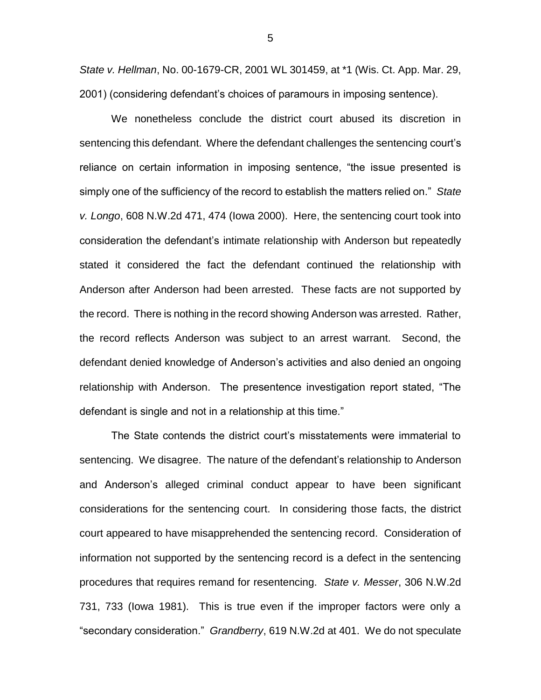*State v. Hellman*, No. 00-1679-CR, 2001 WL 301459, at \*1 (Wis. Ct. App. Mar. 29, 2001) (considering defendant's choices of paramours in imposing sentence).

We nonetheless conclude the district court abused its discretion in sentencing this defendant. Where the defendant challenges the sentencing court's reliance on certain information in imposing sentence, "the issue presented is simply one of the sufficiency of the record to establish the matters relied on." *State v. Longo*, 608 N.W.2d 471, 474 (Iowa 2000). Here, the sentencing court took into consideration the defendant's intimate relationship with Anderson but repeatedly stated it considered the fact the defendant continued the relationship with Anderson after Anderson had been arrested. These facts are not supported by the record. There is nothing in the record showing Anderson was arrested. Rather, the record reflects Anderson was subject to an arrest warrant. Second, the defendant denied knowledge of Anderson's activities and also denied an ongoing relationship with Anderson. The presentence investigation report stated, "The defendant is single and not in a relationship at this time."

The State contends the district court's misstatements were immaterial to sentencing. We disagree. The nature of the defendant's relationship to Anderson and Anderson's alleged criminal conduct appear to have been significant considerations for the sentencing court. In considering those facts, the district court appeared to have misapprehended the sentencing record. Consideration of information not supported by the sentencing record is a defect in the sentencing procedures that requires remand for resentencing. *State v. Messer*, 306 N.W.2d 731, 733 (Iowa 1981). This is true even if the improper factors were only a "secondary consideration." *Grandberry*, 619 N.W.2d at 401.We do not speculate